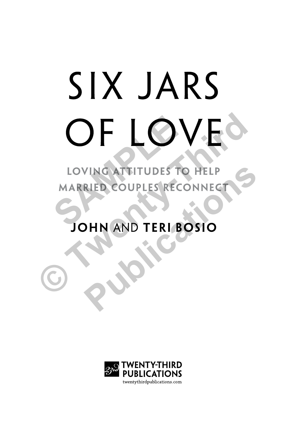# SIX JARS **OF LOVES SAMPLE COUPLES RECONNECT**<br>
MARRIED COUPLES RECONNECT

FRIED COUPLES RECONNECT

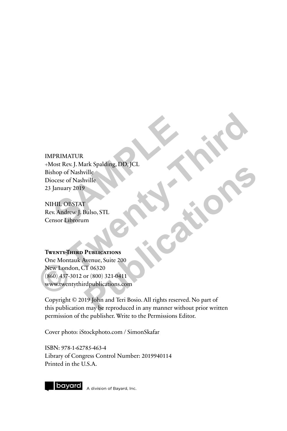## IMPRIMATUR +Most Rev. J. Mark Spalding, DD, JCL Bishop of Nashville Diocese of Nashville 23 January 2019 PRIMATUR<br>
lost Rev. J. Mark Spalding, DD, JCL<br>
hop of Nashville<br>
January 2019<br>
HIL OBSTAT<br>
v. Andrew J. Bulso, STL<br>
nsor Librorum **EXPREMATURE<br>
HORSE Rev. J. Mark Spalding, DD. JCL<br>
Bishop of Nashville<br>
Diocese of Nashville<br>
23 January 2019<br>
NIHIL OBSTAT<br>
Rev. Andrew J. Bulso, STL<br>
Censor Librorum<br>
Constructions<br>
One Montauk Avenue, Suite 200<br>
New Lo**

NIHIL OBSTAT Rev. Andrew J. Bulso, STL Censor Librorum

#### **Twenty-Third Publications**

One Montauk Avenue, Suite 200 New London, CT 06320 (860) 437-3012 or (800) 321-0411 www.twentythirdpublications.com

Copyright © 2019 John and Teri Bosio. All rights reserved. No part of this publication may be reproduced in any manner without prior written permission of the publisher. Write to the Permissions Editor. Fuelle<br>
Wille<br>
Publications STL<br>
Publications of March 200<br>
The Castle 200<br>
The Castle 200<br>
The Castle 200<br>
The Castle 200<br>
The Castle 200<br>
The Castle 200<br>
The Castle 200<br>
The Castle 200<br>
The Castle 200<br>
The Castle 200<br>
Th

Cover photo: iStockphoto.com / SimonSkafar

ISBN: 978-1-62785-463-4 Library of Congress Control Number: 2019940114 Printed in the U.S.A.

bayard

A division of Bayard, Inc.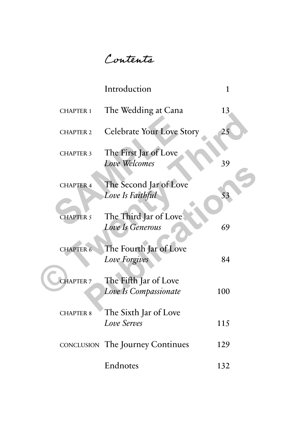Contents

|                  | Introduction                                   | 1   |
|------------------|------------------------------------------------|-----|
| <b>CHAPTER 1</b> | The Wedding at Cana                            | 13  |
| <b>CHAPTER 2</b> | <b>Celebrate Your Love Story</b>               | 25  |
| <b>CHAPTER 3</b> | The First Jar of Love<br>Love Welcomes         | 39  |
| <b>CHAPTER 4</b> | The Second Jar of Love<br>Love Is Faithful     | 53  |
| <b>CHAPTER 5</b> | The Third Jar of Love<br>Love Is Generous      | 69  |
| <b>CHAPTER 6</b> | The Fourth Jar of Love<br><b>Love Forgives</b> | 84  |
| <b>CHAPTER 7</b> | The Fifth Jar of Love<br>Love Is Compassionate | 100 |
| <b>CHAPTER 8</b> | The Sixth Jar of Love<br><b>Love Serves</b>    | 115 |
|                  | <b>CONCLUSION</b> The Journey Continues        | 129 |
|                  | Endnotes                                       | 132 |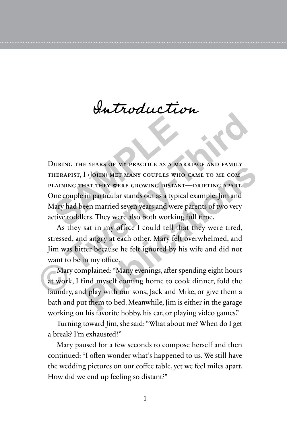## Introduction

During the years of my practice as a marriage and family therapist, I (John) met many couples who came to me complaining that they were growing distant—drifting apart. One couple in particular stands out as a typical example. Jim and Mary had been married seven years and were parents of two very active toddlers. They were also both working full time. **SAMPLE SEARS OF MY PRACTICE AS A MARIST SEARS OF MY PRACTICE AS A MARISHERAPIST, I (JOHN) MET MANY COUPLES WHO<br>
LAINING THAT THEY WERE GROWING DISTANT-<br>
De couple in particular stands out as a typical<br>
Mary had been marri CONSIDERED CONTROVER CONTROVER CONTROVER CONTRAINS THERAPIST, I (JOHN) MET MANY COUPLES WHO CAME TO ME COMPLAINING THAT THEY WERE GROWING DISTANT—DRIFTING APART.**<br>One couple in particular stands out as a typical example, **PERITS OF WET MANY COUPLES WHO CAME TO ME COM-**<br>**PUBLICATE:** THEY WERE GROWING DISTANT—DRIFTING APART.<br>
in particular stands out as a typical example. Jim and<br>
een married seven years and were parents of two very<br>
ers. T

As they sat in my office I could tell that they were tired, stressed, and angry at each other. Mary felt overwhelmed, and Jim was bitter because he felt ignored by his wife and did not want to be in my office.

Mary complained: "Many evenings, after spending eight hours at work, I find myself coming home to cook dinner, fold the laundry, and play with our sons, Jack and Mike, or give them a bath and put them to bed. Meanwhile, Jim is either in the garage working on his favorite hobby, his car, or playing video games."

Turning toward Jim, she said: "What about me? When do I get a break? I'm exhausted!"

Mary paused for a few seconds to compose herself and then continued: "I often wonder what's happened to us. We still have the wedding pictures on our coffee table, yet we feel miles apart. How did we end up feeling so distant?"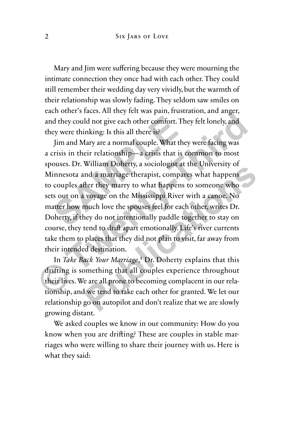Mary and Jim were suffering because they were mourning the intimate connection they once had with each other. They could still remember their wedding day very vividly, but the warmth of their relationship was slowly fading. They seldom saw smiles on each other's faces. All they felt was pain, frustration, and anger, and they could not give each other comfort. They felt lonely, and they were thinking: Is this all there is?

Jim and Mary are a normal couple. What they were facing was a crisis in their relationship—a crisis that is common to most spouses. Dr. William Doherty, a sociologist at the University of Minnesota and a marriage therapist, compares what happens to couples after they marry to what happens to someone who sets out on a voyage on the Mississippi River with a canoe. No matter how much love the spouses feel for each other, writes Dr. Doherty, if they do not intentionally paddle together to stay on course, they tend to drift apart emotionally. Life's river currents take them to places that they did not plan to visit, far away from their intended destination. d they could not give each other comfort. The<br>ey were thinking: Is this all there is?<br>Jim and Mary are a normal couple. What the<br>crisis in their relationship—a crisis that is c<br>ouses. Dr. William Doherty, a sociologist at<br> and they could not give each other comfort. They felt lonely, and<br>they were thinking: Is this all there is?<br>Jim and Mary are a normal couple. What they were facing was<br>a crisis in their relationship—a crisis that is common winant Dotcity, a sociologist at the Oniversity of<br>
Ind a marriage therapist, compares what happens<br>
fler they marry to what happens to someone who<br>
voyage on the Mississippi River with a canoe. No<br>
much love the spouses f

In *Take Back Your Marriage*,<sup>1</sup> Dr. Doherty explains that this drifting is something that all couples experience throughout their lives. We are all prone to becoming complacent in our relationship, and we tend to take each other for granted. We let our relationship go on autopilot and don't realize that we are slowly growing distant.

We asked couples we know in our community: How do you know when you are drifting? These are couples in stable marriages who were willing to share their journey with us. Here is what they said: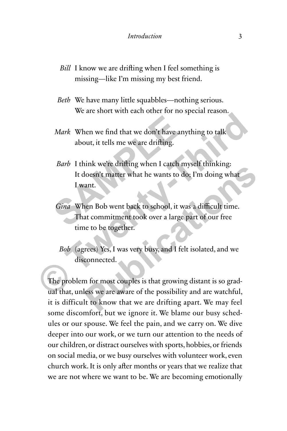- *Bill* I know we are drifting when I feel something is missing—like I'm missing my best friend.
- *Beth* We have many little squabbles—nothing serious. We are short with each other for no special reason.
- *Mark* When we find that we don't have anything to talk about, it tells me we are drifting.
- *Barb* I think we're drifting when I catch myself thinking: It doesn't matter what he wants to do; I'm doing what I want. Mark When we find that we don't have any<br>about, it tells me we are drifting.<br>Barb I think we're drifting when I catch m<br>It doesn't matter what he wants to do<br>I want.<br>Gina When Bob went back to school, it wa<br>That commitment
- *Gina* When Bob went back to school, it was a difficult time. That commitment took over a large part of our free time to be together. Mark When we find that we don't have anything to talk<br>about, it tells me we are drifting.<br>Barb I think we're drifting when I catch myself thinking:<br>It doesn't matter what he wants to do; I'm doing what<br>I want.<br>Gina When Bo
	- *Bob* (agrees) Yes, I was very busy, and I felt isolated, and we disconnected.

The problem for most couples is that growing distant is so gradual that, unless we are aware of the possibility and are watchful, it is difficult to know that we are drifting apart. We may feel some discomfort, but we ignore it. We blame our busy schedules or our spouse. We feel the pain, and we carry on. We dive deeper into our work, or we turn our attention to the needs of our children, or distract ourselves with sports, hobbies, or friends on social media, or we busy ourselves with volunteer work, even church work. It is only after months or years that we realize that we are not where we want to be. We are becoming emotionally Final were dinting when I cacal historians in the distributions.<br>
Hoesn't matter what he wants to do; I'm doing what<br>
rant.<br>
hen Bob went back to school, it was a difficult time.<br>
at commitment took over a large part of ou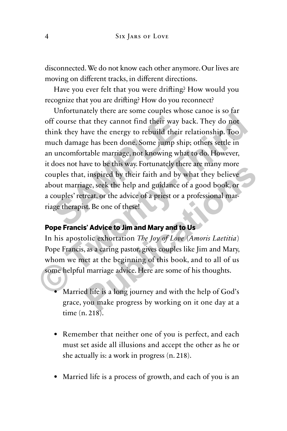disconnected. We do not know each other anymore. Our lives are moving on different tracks, in different directions.

Have you ever felt that you were drifting? How would you recognize that you are drifting? How do you reconnect?

Unfortunately there are some couples whose canoe is so far off course that they cannot find their way back. They do not think they have the energy to rebuild their relationship. Too much damage has been done. Some jump ship; others settle in an uncomfortable marriage, not knowing what to do. However, it does not have to be this way. Fortunately there are many more couples that, inspired by their faith and by what they believe about marriage, seek the help and guidance of a good book, or a couples' retreat, or the advice of a priest or a professional marriage therapist. Be one of these! In they cannot find their way basink they have the energy to rebuild their r uch damage has been done. Some jump ship uncomfortable marriage, not knowing what does not have to be this way. Fortunately ther uples that, insp off course that they cannot find their way back. They do not<br>think they have the energy to rebuild their relationship. Too<br>much damage has been done. Some jump ship; others settle in<br>an uncomfortable marriage, not knowing are to be this way. Fortunately inter are many more<br>
inspired by their faith and by what they believe<br>
gge, seek the help and guidance of a good book, or<br>
reat, or the advice of a priest or a professional mar-<br>
st. Be one

#### **Pope Francis' Advice to Jim and Mary and to Us**

In his apostolic exhortation *The Joy of Love* (*Amoris Laetitia*) Pope Francis, as a caring pastor, gives couples like Jim and Mary, whom we met at the beginning of this book, and to all of us some helpful marriage advice. Here are some of his thoughts.

- Married life is a long journey and with the help of God's grace, you make progress by working on it one day at a time (n. 218).
- Remember that neither one of you is perfect, and each must set aside all illusions and accept the other as he or she actually is: a work in progress (n. 218).
- Married life is a process of growth, and each of you is an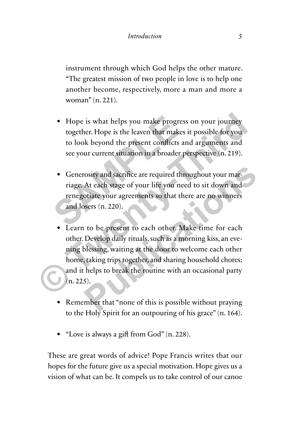instrument through which God helps the other mature. "The greatest mission of two people in love is to help one another become, respectively, more a man and more a woman" (n. 221).

- Hope is what helps you make progress on your journey together. Hope is the leaven that makes it possible for you to look beyond the present conflicts and arguments and see your current situation in a broader perspective (n. 219).
- Generosity and sacrifice are required throughout your marriage. At each stage of your life you need to sit down and renegotiate your agreements so that there are no winners and losers (n. 220). • Hope is what helps you make progress<br>together. Hope is the leaven that makes<br>to look beyond the present conflicts an<br>see your current situation in a broader pe<br>**•** Generosity and sacrifice are required thro<br>riage. At eac
- Learn to be present to each other. Make time for each other. Develop daily rituals, such as a morning kiss, an evening blessing, waiting at the door to welcome each other home, taking trips together, and sharing household chores; and it helps to break the routine with an occasional party (n. 225). ■ Hope is what helps you make progress on your journey together. Hope is the leaven that makes it possible for you to look beyond the present conflicts and arguments and see your current situation in a broader perspective rosity and sacrifice are required throughout your mar-<br>At each stage of your life you need to sit down and<br>otiate your agreements so that there are no winners<br>ssers (n. 220).<br>It is been provided and the same of the process
	- Remember that "none of this is possible without praying to the Holy Spirit for an outpouring of his grace" (n. 164).
	- "Love is always a gift from God" (n. 228).

These are great words of advice! Pope Francis writes that our hopes for the future give us a special motivation. Hope gives us a vision of what can be. It compels us to take control of our canoe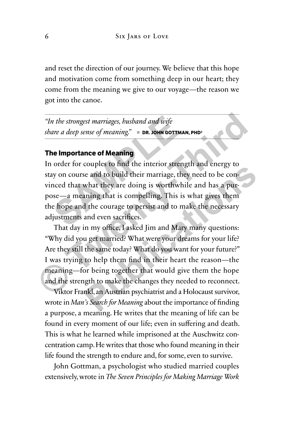and reset the direction of our journey. We believe that this hope and motivation come from something deep in our heart; they come from the meaning we give to our voyage—the reason we got into the canoe.

*"In the strongest marriages, husband and wife share a deep sense of meaning." e* **DR. JOHN GOTTMAN, PHD2**

#### **The Importance of Meaning**

In order for couples to find the interior strength and energy to stay on course and to build their marriage, they need to be convinced that what they are doing is worthwhile and has a purpose—a meaning that is compelling. This is what gives them the hope and the courage to persist and to make the necessary adjustments and even sacrifices. The strongest marriages, busband and wife<br>
are a deep sense of meaning." DR. JOHN GOTTMAN<br> **SAMPLE PROPERTIES:** DR. JOHN GOTTMAN<br> **SAMPLE PROPERTIES:** ONE SAMPLE PROPERTIES<br>
SAMPLE THE SAMPLE PROPERTIES.<br>
The dominant even

That day in my office, I asked Jim and Mary many questions: "Why did you get married? What were your dreams for your life? Are they still the same today? What do you want for your future?" I was trying to help them find in their heart the reason—the meaning—for being together that would give them the hope and the strength to make the changes they needed to reconnect. The the strongest marriages, busband and wife<br>
share a deep sense of meaning." **DR. JOHN GOTTMAN, PHD<sup>3</sup>**<br> **The Importance of Meaning**<br>
In order for couples to find the interior strength and energy to<br>
stay on course and t **Publication Publication Publication Publication Publication Publication Publication Publication Publication Publication Publication Publication Publication Publication Publication Publication** 

Viktor Frankl, an Austrian psychiatrist and a Holocaust survivor, wrote in *Man's Search for Meaning* about the importance of finding a purpose, a meaning. He writes that the meaning of life can be found in every moment of our life; even in suffering and death. This is what he learned while imprisoned at the Auschwitz concentration camp. He writes that those who found meaning in their life found the strength to endure and, for some, even to survive.

John Gottman, a psychologist who studied married couples extensively, wrote in *The Seven Principles for Making Marriage Work*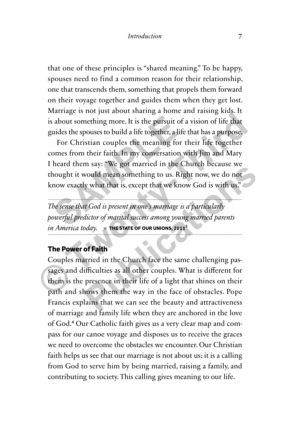that one of these principles is "shared meaning." To be happy, spouses need to find a common reason for their relationship, one that transcends them, something that propels them forward on their voyage together and guides them when they get lost. Marriage is not just about sharing a home and raising kids. It is about something more. It is the pursuit of a vision of life that guides the spouses to build a life together, a life that has a purpose.

For Christian couples the meaning for their life together comes from their faith. In my conversation with Jim and Mary I heard them say: "We got married in the Church because we thought it would mean something to us. Right now, we do not know exactly what that is, except that we know God is with us." about something more. It is the pursuit of a<br>uides the spouses to build a life together, a life<br>For Christian couples the meaning for t<br>omes from their faith. In my conversation w<br>heard them say: "We got married in the Cl<br> **Example 19 Follow The Scheme Scheme Scheme Scheme Scheme Scheme Scheme Scheme Scheme Scheme Scheme Scheme Scheme Scheme Scheme Scheme Scheme Scheme Scheme Scheme Scheme Scheme Scheme Scheme Scheme Scheme Scheme Scheme Sch** 

*The sense that God is present in one's marriage is a particularly powerful predictor of marital success among young married parents*   $in$  *America today.* **• THE STATE OF OUR UNIONS, 2011<sup>3</sup>** 

#### **The Power of Faith**

Couples married in the Church face the same challenging passages and difficulties as all other couples. What is different for them is the presence in their life of a light that shines on their path and shows them the way in the face of obstacles. Pope Francis explains that we can see the beauty and attractiveness of marriage and family life when they are anchored in the love of God.**<sup>4</sup>** Our Catholic faith gives us a very clear map and compass for our canoe voyage and disposes us to receive the graces we need to overcome the obstacles we encounter. Our Christian faith helps us see that our marriage is not about us; it is a calling from God to serve him by being married, raising a family, and contributing to society. This calling gives meaning to our life. **Publication**<br> **Publication**<br> **Publication**<br> **Publication**<br> **Publication**<br> **Publication**<br> **Publication**<br> **Publication**<br> **Publication**<br> **Publication**<br> **Publication**<br> **Publication**<br> **Publication**<br> **Publication**<br> **Publication**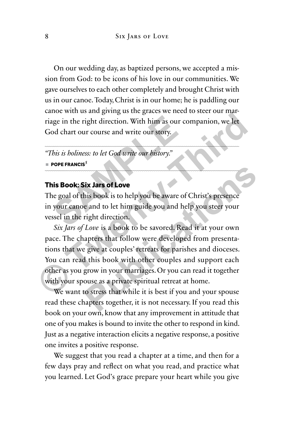On our wedding day, as baptized persons, we accepted a mission from God: to be icons of his love in our communities. We gave ourselves to each other completely and brought Christ with us in our canoe. Today, Christ is in our home; he is paddling our canoe with us and giving us the graces we need to steer our marriage in the right direction. With him as our companion, we let God chart our course and write our story.

*"This is holiness: to let God write our history."*  $\blacksquare$  POPE FRANCIS<sup>5</sup>

#### **This Book: Six Jars of Love**

The goal of this book is to help you be aware of Christ's presence in your canoe and to let him guide you and help you steer your vessel in the right direction. Example in the right direction. With him as our conserved chart our course and write our story.<br>
This is holiness: to let God write our history."<br>
POPE FRANCIS<sup>5</sup><br>
RIS BOOK: Six Jars of Love<br>
is Book: Six Jars of Love<br>
is

*Six Jars of Love* is a book to be savored. Read it at your own pace. The chapters that follow were developed from presentations that we give at couples' retreats for parishes and dioceses. You can read this book with other couples and support each other as you grow in your marriages. Or you can read it together with your spouse as a private spiritual retreat at home. **CONTAINT ACT ACTS AND THE CONTROVER CONTROLLED THE VALUATION CONTROVER THANGED TO THE SOLUTION IN THIS BOOK: SIX JATS OF LOVE The goal of this book is to help you be aware of Christ's presence in your cance and to let him Public Set to the Set of Set of Christ**<br> **Public Set of Love**<br> **Public Set of Christ**<br> **Public Set of Christ**<br> **Public Cove is a book to be savored. Read it at your own<br>
apters that follow were developed from presenta-<br>
P** 

We want to stress that while it is best if you and your spouse read these chapters together, it is not necessary. If you read this book on your own, know that any improvement in attitude that one of you makes is bound to invite the other to respond in kind. Just as a negative interaction elicits a negative response, a positive one invites a positive response.

We suggest that you read a chapter at a time, and then for a few days pray and reflect on what you read, and practice what you learned. Let God's grace prepare your heart while you give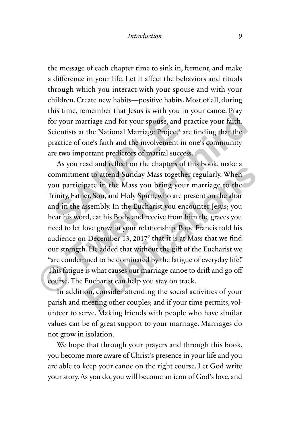#### *Introduction* 9

the message of each chapter time to sink in, ferment, and make a difference in your life. Let it affect the behaviors and rituals through which you interact with your spouse and with your children. Create new habits—positive habits. Most of all, during this time, remember that Jesus is with you in your canoe. Pray for your marriage and for your spouse, and practice your faith. Scientists at the National Marriage Project**<sup>6</sup>** are finding that the practice of one's faith and the involvement in one's community are two important predictors of marital success.

As you read and reflect on the chapters of this book, make a commitment to attend Sunday Mass together regularly. When you participate in the Mass you bring your marriage to the Trinity, Father, Son, and Holy Spirit, who are present on the altar and in the assembly. In the Eucharist you encounter Jesus; you hear his word, eat his Body, and receive from him the graces you need to let love grow in your relationship. Pope Francis told his audience on December 13, 2017**<sup>7</sup>** that it is at Mass that we find our strength. He added that without the gift of the Eucharist we "are condemned to be dominated by the fatigue of everyday life." This fatigue is what causes our marriage canoe to drift and go off course. The Eucharist can help you stay on track. or your marriage and for your spouse, and p<br>cientists at the National Marriage Project<sup>6</sup> ar<br>ractice of one's faith and the involvement in<br>re two important predictors of marital succes<br>As you read and reflect on the chapte for your marriage and for your spouse, and practice your faith.<br>Scientists at the National Marriage Project<sup>6</sup> are finding that the<br>practice of one's faith and the involvement in one's community<br>are two important predictor and and tence of the enapters of this book, make a<br>the to attend Sunday Mass together regularly. When<br>pate in the Mass you bring your marriage to the<br>er, Son, and Holy Spirit, who are present on the altar<br>tssembly. In the

In addition, consider attending the social activities of your parish and meeting other couples; and if your time permits, volunteer to serve. Making friends with people who have similar values can be of great support to your marriage. Marriages do not grow in isolation.

We hope that through your prayers and through this book, you become more aware of Christ's presence in your life and you are able to keep your canoe on the right course. Let God write your story. As you do, you will become an icon of God's love, and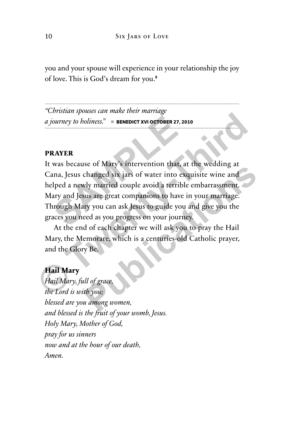you and your spouse will experience in your relationship the joy of love. This is God's dream for you.**<sup>8</sup>**

*"Christian spouses can make their marriage a journey to holiness." e* **BENEDICT XVI OCTOBER 27, 2010**

#### **PRAYER**

It was because of Mary's intervention that, at the wedding at Cana, Jesus changed six jars of water into exquisite wine and helped a newly married couple avoid a terrible embarrassment. Mary and Jesus are great companions to have in your marriage. Through Mary you can ask Jesus to guide you and give you the graces you need as you progress on your journey. **SEXTER**<br> **SAYER**<br>
WAS because of Mary's intervention that, at<br>
ana, Jesus changed six jars of water into excelled a newly married couple avoid a terrible<br>
dary and Jesus are great companions to have into the property of t **EXECUTE:** This is a contract that the wedding at the secure of Mary's intervention that, at the wedding at Cana, Jesus changed six jars of water into exquisite wine and helped a newly married couple avoid a terrible embar **Publication** and, at the wealthing at changed six jars of water into exquisite wine and<br>
why married couple avoid a terrible embarrassment.<br>
Sus are great companions to have in your marriage.<br>
Fy you can ask Jesus to guid

At the end of each chapter we will ask you to pray the Hail Mary, the Memorare, which is a centuries-old Catholic prayer, and the Glory Be.

#### **Hail Mary**

*Hail Mary, full of grace, the Lord is with you; blessed are you among women, and blessed is the fruit of your womb, Jesus. Holy Mary, Mother of God, pray for us sinners now and at the hour of our death, Amen.*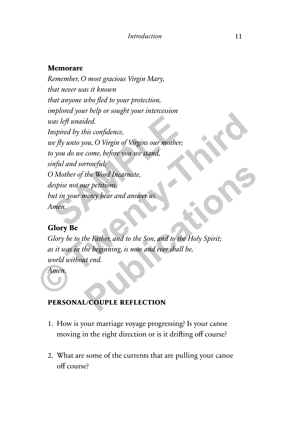#### **Memorare**

*Remember, O most gracious Virgin Mary, that never was it known that anyone who fled to your protection, implored your help or sought your intercession was left unaided. Inspired by this confidence, we fly unto you, O Virgin of Virgins our mother; to you do we come, before you we stand, sinful and sorrowful; O Mother of the Word Incarnate, despise not our petitions, but in your mercy hear and answer us. Amen. As left unaided.*<br> *Spired by this confidence,*<br> *Spired by unto you, O Virgin of Virgins our mother;*<br> *Spire wou do we come, before you we stand,*<br> *Spire and sorrowful;*<br> *Spire not our petitions,*<br> *Spire not our peti* **Example 2014**<br> **Example 2014**<br> **Example 2014**<br> **Example 2014**<br> **Example 2014**<br> **Example 2014**<br> **Example 2014**<br> **Example 2014**<br> **Consider and any of Virgins our mother;**<br> **Example 2014**<br> **Consider and any of the Son, and t** Francisco Contractions,<br>
the Word Incarnate,<br>
ur petitions,<br>
here Father, and to the Son, and to the Holy Spirit;<br>
the beginning, is now and ever shall be,<br>
tt end.<br> **Public REFLECTION** 

#### **Glory Be**

*Glory be to the Father, and to the Son, and to the Holy Spirit; as it was in the beginning, is now and ever shall be, world without end.*

*Amen.*

#### **PERSONAL/COUPLE REFLECTION**

- 1. How is your marriage voyage progressing? Is your canoe moving in the right direction or is it drifting off course?
- 2. What are some of the currents that are pulling your canoe off course?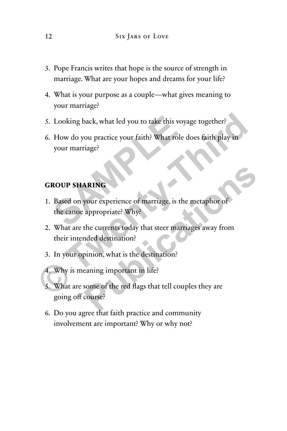- 3. Pope Francis writes that hope is the source of strength in marriage. What are your hopes and dreams for your life?
- 4. What is your purpose as a couple—what gives meaning to your marriage?
- 5. Looking back, what led you to take this voyage together?
- 6. How do you practice your faith? What role does faith play in your marriage? Looking back, what led you to take this voya<br>
How do you practice your faith? What role c<br>
your marriage?<br> **ROUP SHARING**<br>
Based on your experience of marriage, is the<br>
the canoe appropriate? Why? **© Twenty-Third**

#### **GROUP SHARING**

- 1. Based on your experience of marriage, is the metaphor of the canoe appropriate? Why?
- 2. What are the currents today that steer marriages away from their intended destination? **PRING**<br>
Solution experience of marriage, is the metaphor of<br>
appropriate? Why?<br>
the currents today that steer marriages away from<br>
anded destination?<br>
pointion, what is the destination?<br>
<br>
some of the red flags that tell
- 3. In your opinion, what is the destination?
- 4. Why is meaning important in life?
- 5. What are some of the red flags that tell couples they are going off course?
- 6. Do you agree that faith practice and community involvement are important? Why or why not?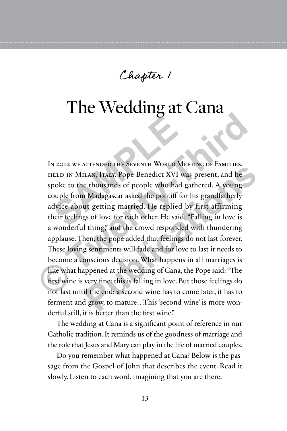Chapter 1

### The Wedding at Cana

In 2012 we attended the Seventh World Meeting of Families, held in Milan, Italy. Pope Benedict XVI was present, and he spoke to the thousands of people who had gathered. A young couple from Madagascar asked the pontiff for his grandfatherly advice about getting married. He replied by first affirming their feelings of love for each other. He said: "Falling in love is a wonderful thing," and the crowd responded with thundering applause. Then, the pope added that feelings do not last forever. These loving sentiments will fade and for love to last it needs to become a conscious decision. What happens in all marriages is like what happened at the wedding of Cana, the Pope said: "The first wine is very fine: this is falling in love. But those feelings do not last until the end: a second wine has to come later, it has to ferment and grow, to mature…This 'second wine' is more wonderful still, it is better than the first wine." **SAMPLE ASSEMBED THE SEVENTH WORLD METALE AND MILAN, ITALY. Pope Benedict XVI was<br>poke to the thousands of people who had gouple from Madagascar asked the pontiff for<br>dvice about getting married. He replied b<br>neir feelings** IN 2012 WE ATTENDED THE SEVENTH WORLD MEETING OF FAMILIES,<br>
HELD IN MILAN, ITALY. Pope Benedict XVI was present, and he<br>
spoke to the thousands of people who had gathered. A young<br>
couple from Madagascar asked the pontiff **EXAMPLE THE SEVENTH WORLD INTETTING OF TAMILETS,**<br> **PLAN, ITALY. Pope Benedict XVI was present, and here thousands of people who had gathered. A young<br>
<b>Publications A Set in the post of the pontiff** for his grandfatherly

The wedding at Cana is a significant point of reference in our Catholic tradition. It reminds us of the goodness of marriage and the role that Jesus and Mary can play in the life of married couples.

Do you remember what happened at Cana? Below is the passage from the Gospel of John that describes the event. Read it slowly. Listen to each word, imagining that you are there.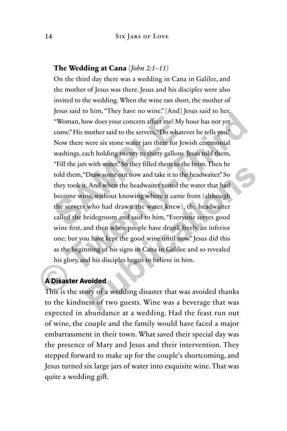#### **The Wedding at Cana** *(John 2:1–11)*

On the third day there was a wedding in Cana in Galilee, and the mother of Jesus was there. Jesus and his disciples were also invited to the wedding. When the wine ran short, the mother of Jesus said to him, "They have no wine." [And] Jesus said to her, "Woman, how does your concern affect me? My hour has not yet come." His mother said to the servers, "Do whatever he tells you." Now there were six stone water jars there for Jewish ceremonial washings, each holding twenty to thirty gallons. Jesus told them, "Fill the jars with water." So they filled them to the brim. Then he told them, "Draw some out now and take it to the headwaiter." So they took it. And when the headwaiter tasted the water that had become wine, without knowing where it came from (although the servers who had drawn the water knew), the headwaiter called the bridegroom and said to him, "Everyone serves good wine first, and then when people have drunk freely, an inferior one; but you have kept the good wine until now." Jesus did this as the beginning of his signs in Cana in Galilee and so revealed his glory, and his disciples began to believe in him. "Woman, how does your concern affect me? My h<br>come." His mother said to the servers, "Do whates<br>Now there were six stone water jars there for Jew<br>washings, each holding twenty to thirty gallons.]<br>"Fill the jars with water. **Example 18 The Solution COND** and the server is the server that the server that  $\sim$  **COND** and the servers, "Do whatever he tells you."<br>
Now there were six stone water jars there for Jewish ceremonial washings, each hold **Phase Solution** was the state of the state of the state of the state of the state of the state of the state of the headwaiter." So t. And when the headwaiter tasted the water that had ine, without knowing where it came fr

#### **A Disaster Avoided**

This is the story of a wedding disaster that was avoided thanks to the kindness of two guests. Wine was a beverage that was expected in abundance at a wedding. Had the feast run out of wine, the couple and the family would have faced a major embarrassment in their town. What saved their special day was the presence of Mary and Jesus and their intervention. They stepped forward to make up for the couple's shortcoming, and Jesus turned six large jars of water into exquisite wine. That was quite a wedding gift.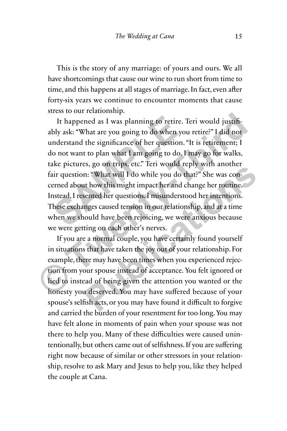This is the story of any marriage: of yours and ours. We all have shortcomings that cause our wine to run short from time to time, and this happens at all stages of marriage. In fact, even after forty-six years we continue to encounter moments that cause stress to our relationship.

It happened as I was planning to retire. Teri would justifiably ask: "What are you going to do when you retire?" I did not understand the significance of her question. "It is retirement; I do not want to plan what I am going to do. I may go for walks, take pictures, go on trips, etc." Teri would reply with another fair question: "What will I do while you do that?" She was concerned about how this might impact her and change her routine. Instead, I resented her questions. I misunderstood her intentions. These exchanges caused tension in our relationship, and at a time when we should have been rejoicing, we were anxious because we were getting on each other's nerves. It happened as I was planning to retire. T<br>bly ask: "What are you going to do when you<br>nderstand the significance of her question."<br>o not want to plan what I am going to do. I<br>ke pictures, go on trips, etc." Teri would re<br> It happened as I was planning to retire. Teri would justifiably ask: "What are you going to do when you retire?" I did not understand the significance of her question. "It is retirement; I do not want to plan what I am goi

If you are a normal couple, you have certainly found yourself in situations that have taken the joy out of your relationship. For example, there may have been times when you experienced rejection from your spouse instead of acceptance. You felt ignored or lied to instead of being given the attention you wanted or the honesty you deserved. You may have suffered because of your spouse's selfish acts, or you may have found it difficult to forgive and carried the burden of your resentment for too long. You may have felt alone in moments of pain when your spouse was not there to help you. Many of these difficulties were caused unintentionally, but others came out of selfishness. If you are suffering right now because of similar or other stressors in your relationship, resolve to ask Mary and Jesus to help you, like they helped the couple at Cana. **Publication Solution** and the set of the set of the set of the set of the set of the set of the set of the set of the set of the set of the set of the set of the set of the set of the set of the set of the set of the set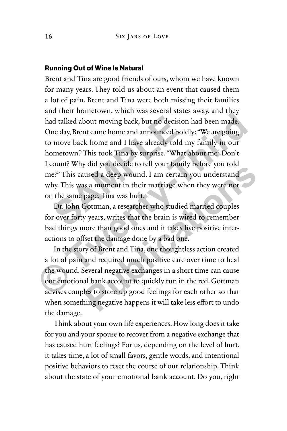#### **Running Out of Wine Is Natural**

Brent and Tina are good friends of ours, whom we have known for many years. They told us about an event that caused them a lot of pain. Brent and Tina were both missing their families and their hometown, which was several states away, and they had talked about moving back, but no decision had been made. One day, Brent came home and announced boldly: "We are going to move back home and I have already told my family in our hometown." This took Tina by surprise. "What about me? Don't I count? Why did you decide to tell your family before you told me?" This caused a deep wound. I am certain you understand why. This was a moment in their marriage when they were not on the same page. Tina was hurt. d talked about moving back, but no decision<br>ne day, Brent came home and announced bold<br>move back home and I have already told n<br>metown." This took Tina by surprise. "What<br>count? Why did you decide to tell your family<br>e?" T that transformation in the two tests of the two states. This could be that dikked about moving back, but no decision had been made. One day, Brent came home and announced boldly: "We are going to move back home and I have

Dr. John Gottman, a researcher who studied married couples for over forty years, writes that the brain is wired to remember bad things more than good ones and it takes five positive interactions to offset the damage done by a bad one.

In the story of Brent and Tina, one thoughtless action created a lot of pain and required much positive care over time to heal the wound. Several negative exchanges in a short time can cause our emotional bank account to quickly run in the red. Gottman advises couples to store up good feelings for each other so that when something negative happens it will take less effort to undo the damage. and you decade to ten your ranny before you told<br>used a deep wound. I am certain you understand<br>as a moment in their marriage when they were not<br>page. Tina was hurt.<br>Sottman, a researcher who studied married couples<br>y year

Think about your own life experiences. How long does it take for you and your spouse to recover from a negative exchange that has caused hurt feelings? For us, depending on the level of hurt, it takes time, a lot of small favors, gentle words, and intentional positive behaviors to reset the course of our relationship. Think about the state of your emotional bank account. Do you, right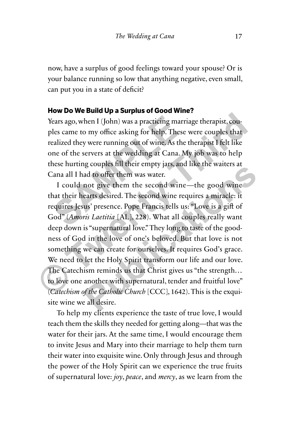now, have a surplus of good feelings toward your spouse? Or is your balance running so low that anything negative, even small, can put you in a state of deficit?

#### **How Do We Build Up a Surplus of Good Wine?**

Years ago, when I (John) was a practicing marriage therapist, couples came to my office asking for help. These were couples that realized they were running out of wine. As the therapist I felt like one of the servers at the wedding at Cana. My job was to help these hurting couples fill their empty jars, and like the waiters at Cana all I had to offer them was water. ears ago, when I (John) was a practicing marri<br>les came to my office asking for help. These<br>ealized they were running out of wine. As the<br>ne of the servers at the wedding at Cana. M<br>nese hurting couples fill their empty ja

I could not give them the second wine—the good wine that their hearts desired. The second wine requires a miracle: it requires Jesus' presence. Pope Francis tells us: "Love is a gift of God" (*Amoris Laetitia* [AL], 228). What all couples really want deep down is "supernatural love." They long to taste of the goodness of God in the love of one's beloved. But that love is not something we can create for ourselves. It requires God's grace. We need to let the Holy Spirit transform our life and our love. The Catechism reminds us that Christ gives us "the strength… to love one another with supernatural, tender and fruitful love" (*Catechism of the Catholic Church* [CCC], 1642). This is the exquisite wine we all desire. Years ago, when I (John) was a practicing marriage therapist, couples came to my office asking for help. These were couples that realized they were running out of wine. As the therapist I felt like one of the servers at th and to offer them was water.<br>
and to offer them was water.<br>
and to offer them was water.<br>
and to offer them was water.<br>
and to offer them was water.<br>
and the second wine requires a miracle: it<br>
us' presence. Pope Francis t

To help my clients experience the taste of true love, I would teach them the skills they needed for getting along—that was the water for their jars. At the same time, I would encourage them to invite Jesus and Mary into their marriage to help them turn their water into exquisite wine. Only through Jesus and through the power of the Holy Spirit can we experience the true fruits of supernatural love: *joy*, *peace*, and *mercy*, as we learn from the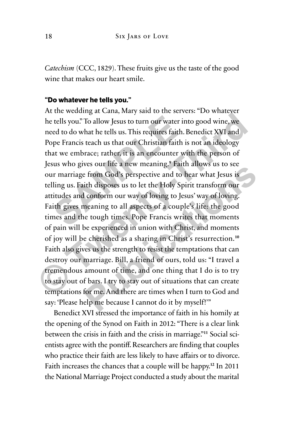*Catechism* (CCC, 1829). These fruits give us the taste of the good wine that makes our heart smile.

#### **"Do whatever he tells you."**

At the wedding at Cana, Mary said to the servers: "Do whatever he tells you." To allow Jesus to turn our water into good wine, we need to do what he tells us. This requires faith. Benedict XVI and Pope Francis teach us that our Christian faith is not an ideology that we embrace; rather, it is an encounter with the person of Jesus who gives our life a new meaning.**<sup>9</sup>** Faith allows us to see our marriage from God's perspective and to hear what Jesus is telling us. Faith disposes us to let the Holy Spirit transform our attitudes and conform our way of loving to Jesus' way of loving. Faith gives meaning to all aspects of a couple's life: the good times and the tough times. Pope Francis writes that moments of pain will be experienced in union with Christ, and moments of joy will be cherished as a sharing in Christ's resurrection.**<sup>10</sup>** Faith also gives us the strength to resist the temptations that can destroy our marriage. Bill, a friend of ours, told us: "I travel a tremendous amount of time, and one thing that I do is to try to stay out of bars. I try to stay out of situations that can create temptations for me. And there are times when I turn to God and say: 'Please help me because I cannot do it by myself!'" tells you." To allow Jesus to turn our water in<br>ed to do what he tells us. This requires faith. I<br>ppe Francis teach us that our Christian faith is<br>at we embrace; rather, it is an encounter wi<br>us who gives our life a new me It was variantly want to the relation to the tells you." To allow Jesus to turn our water into good wine, we need to do what he tells us. This requires faith. Benedict XVI and Pope Francis teach us that our Christian faith **Publication** a hew meaning. Takin ahows as to see<br>
From God's perspective and to hear what Jesus is<br>
sith disposes us to let the Holy Spirit transform our<br> **Publication** conform our way of loving to Jesus' way of loving.<br>

Benedict XVI stressed the importance of faith in his homily at the opening of the Synod on Faith in 2012: "There is a clear link between the crisis in faith and the crisis in marriage."**11** Social scientists agree with the pontiff. Researchers are finding that couples who practice their faith are less likely to have affairs or to divorce. Faith increases the chances that a couple will be happy.**<sup>12</sup>** In 2011 the National Marriage Project conducted a study about the marital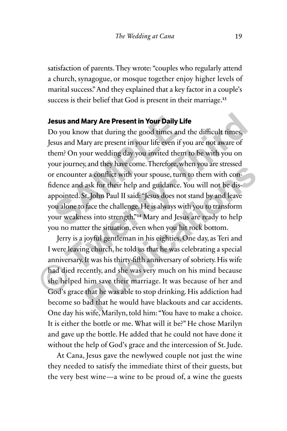satisfaction of parents. They wrote: "couples who regularly attend a church, synagogue, or mosque together enjoy higher levels of marital success." And they explained that a key factor in a couple's success is their belief that God is present in their marriage.**<sup>13</sup>**

#### **Jesus and Mary Are Present in Your Daily Life**

Do you know that during the good times and the difficult times, Jesus and Mary are present in your life even if you are not aware of them? On your wedding day you invited them to be with you on your journey, and they have come. Therefore, when you are stressed or encounter a conflict with your spouse, turn to them with confidence and ask for their help and guidance. You will not be disappointed. St. John Paul II said: "Jesus does not stand by and leave you alone to face the challenge. He is always with you to transform your weakness into strength."**<sup>14</sup>** Mary and Jesus are ready to help you no matter the situation, even when you hit rock bottom. **Example 3 Alternation School School School School School School School School School School School School School School School School School School School School School School School School School School School School Sch Jesus and Mary Are Present in Your Daily Life**<br>Do you know that during the good times and the difficult times,<br>Jesus and Mary are present in your life even if you are not aware of<br>them? On your wedding day you invited the

Jerry is a joyful gentleman in his eighties. One day, as Teri and I were leaving church, he told us that he was celebrating a special anniversary. It was his thirty-fifth anniversary of sobriety. His wife had died recently, and she was very much on his mind because she helped him save their marriage. It was because of her and God's grace that he was able to stop drinking. His addiction had become so bad that he would have blackouts and car accidents. One day his wife, Marilyn, told him: "You have to make a choice. It is either the bottle or me. What will it be?" He chose Marilyn and gave up the bottle. He added that he could not have done it without the help of God's grace and the intercession of St. Jude. **Publication** is a set that the would have blackouts and can accidents.<br>
The with your spouse, turn to them with con-<br>
ask for their help and guidance. You will not be dis-<br>
Sit. John Paul II said: "Jesus does not stand by

At Cana, Jesus gave the newlywed couple not just the wine they needed to satisfy the immediate thirst of their guests, but the very best wine—a wine to be proud of, a wine the guests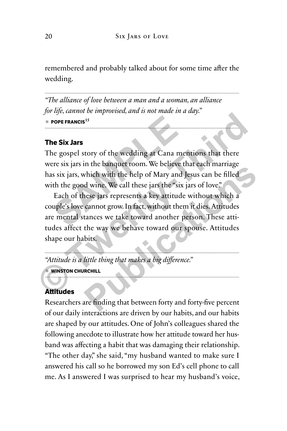remembered and probably talked about for some time after the wedding.

*"The alliance of love between a man and a woman, an alliance for life, cannot be improvised, and is not made in a day."*  $\blacksquare$  **POPE FRANCIS**<sup>15</sup>

#### **The Six Jars**

The gospel story of the wedding at Cana mentions that there were six jars in the banquet room. We believe that each marriage has six jars, which with the help of Mary and Jesus can be filled with the good wine. We call these jars the "six jars of love." POPE FRANCIS<sup>15</sup><br> **SOMET FRANCIS**<br> **SOMET ASSES**<br> **SOMET ASSES**<br> **SOMET ASSES**<br> **SOMET ASSES**<br> **SOMET ASSES**<br> **SOMET ASSES**<br> **SOMET ASSES**<br> **SOMET ASSES**<br> **SOMET ASSES**<br> **SOMET ASSES**<br> **SOMET ASSES**<br> **SOMET ASSES**<br> **SOMET** 

Each of these jars represents a key attitude without which a couple's love cannot grow. In fact, without them it dies. Attitudes are mental stances we take toward another person. These attitudes affect the way we behave toward our spouse. Attitudes shape our habits. **The Six Jars**<br> **The Six Jars**<br> **The Six Jars**<br> **The gospel story of the wedding at Cana mentions that there**<br>
were six jars in the banquet room. We believe that each marriage<br>
has six jars, which with the help of Mary and The band window the help of Mary and Jesus can be filled<br>
d wine. We call these jars the "six jars of love."<br>
Resequences are contributed without which a<br>
cannot grow. In fact, without them it dies. Attitudes<br>
tances we ta

*"Attitude is a little thing that makes a big difference."*

#### **WINSTON CHURCHILL**

#### **Attitudes**

Researchers are finding that between forty and forty-five percent of our daily interactions are driven by our habits, and our habits are shaped by our attitudes. One of John's colleagues shared the following anecdote to illustrate how her attitude toward her husband was affecting a habit that was damaging their relationship. "The other day," she said, "my husband wanted to make sure I answered his call so he borrowed my son Ed's cell phone to call me. As I answered I was surprised to hear my husband's voice,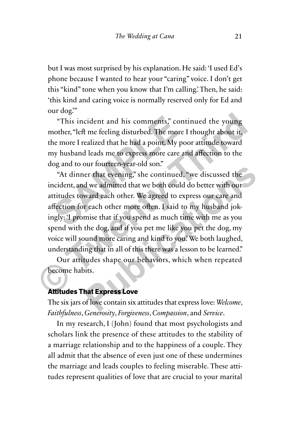but I was most surprised by his explanation. He said: 'I used Ed's phone because I wanted to hear your "caring" voice. I don't get this "kind" tone when you know that I'm calling.' Then, he said: 'this kind and caring voice is normally reserved only for Ed and our dog."

"This incident and his comments," continued the young mother, "left me feeling disturbed. The more I thought about it, the more I realized that he had a point. My poor attitude toward my husband leads me to express more care and affection to the dog and to our fourteen-year-old son."

"At dinner that evening," she continued, "we discussed the incident, and we admitted that we both could do better with our attitudes toward each other. We agreed to express our care and affection for each other more often. I said to my husband jokingly: 'I promise that if you spend as much time with me as you spend with the dog, and if you pet me like you pet the dog, my voice will sound more caring and kind to you.' We both laughed, understanding that in all of this there was a lesson to be learned." "This incident and his comments," cont<br>nother, "left me feeling disturbed. The more I<br>ne more I realized that he had a point. My poor<br>ny husband leads me to express more care an<br>og and to our fourteen-year-old son."<br>"At di This incident and his comments," continued the young<br>
"This incident and his comments," continued the young<br>
mother, "left me feeling disturbed. The more I thought about it,<br>
the more I realized that he had a point. My poo en fhat evening," she continued, "we discussed the<br>d we admitted that we both could do better with our<br>ward each other. We agreed to express our care and<br>r each other more often. I said to my husband jok-<br>mise that if you

Our attitudes shape our behaviors, which when repeated become habits.

#### **Attitudes That Express Love**

The six jars of love contain six attitudes that express love: *Welcome*, *Faithfulness*, *Generosity*, *Forgiveness*, *Compassion*, and *Service*.

In my research, I (John) found that most psychologists and scholars link the presence of these attitudes to the stability of a marriage relationship and to the happiness of a couple. They all admit that the absence of even just one of these undermines the marriage and leads couples to feeling miserable. These attitudes represent qualities of love that are crucial to your marital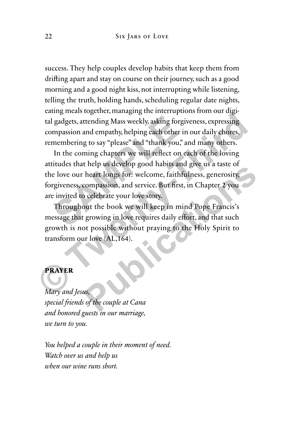success. They help couples develop habits that keep them from drifting apart and stay on course on their journey, such as a good morning and a good night kiss, not interrupting while listening, telling the truth, holding hands, scheduling regular date nights, eating meals together, managing the interruptions from our digital gadgets, attending Mass weekly, asking forgiveness, expressing compassion and empathy, helping each other in our daily chores, remembering to say "please" and "thank you," and many others.

In the coming chapters we will reflect on each of the loving attitudes that help us develop good habits and give us a taste of the love our heart longs for: welcome, faithfulness, generosity, forgiveness, compassion, and service. But first, in Chapter 2 you are invited to celebrate your love story. gadgets, attending Mass weekly, asking forgive myassion and empathy, helping each other in membering to say "please" and "thank you," a<br>In the coming chapters we will reflect on earlied in the coming chapters we will refle tallary and the mathematic state of the Holy Spirit to<br>transform of the Holy Mary and Tallary compassion and empathy, helping each other in our daily chores,<br>remembering to say "please" and "thank you," and many others.<br>In

Throughout the book we will keep in mind Pope Francis's message that growing in love requires daily effort, and that such growth is not possible without praying to the Holy Spirit to transform our love (AL,164). **Publication** Several Burnov and Several Burnov and Several Lines Several Several Sections and Several Sections Compassion, and service. But first, in Chapter 2 you celebrate your love story.<br>
but the book we will keep in

#### **PRAYER**

*Mary and Jesus, special friends of the couple at Cana and honored guests in our marriage, we turn to you.*

*You helped a couple in their moment of need. Watch over us and help us when our wine runs short.*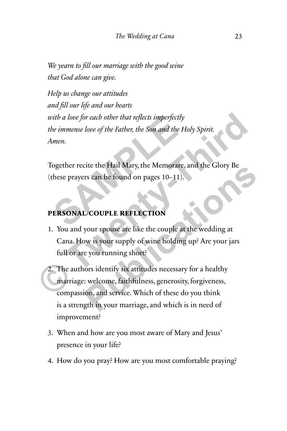*We yearn to fill our marriage with the good wine that God alone can give.*

*Help us change our attitudes and fill our life and our hearts with a love for each other that reflects imperfectly the immense love of the Father, the Son and the Holy Spirit. Amen.* Fith a love for each other that reflects imperfectly<br>be immense love of the Father, the Son and the Homen.<br>Cogether recite the Hail Mary, the Memorare, a<br>hese prayers can be found on pages 10–11).

Together recite the Hail Mary, the Memorare, and the Glory Be (these prayers can be found on pages 10–11).

#### **PERSONAL/COUPLE REFLECTION**

1. You and your spouse are like the couple at the wedding at Cana. How is your supply of wine holding up? Are your jars full or are you running short? with a love for each other that reflects imperfectly<br>the immense love of the Father, the Son and the Holy Spirit.<br>Amen.<br>Together recite the Hail Mary, the Memorare, and the Glory Be<br>(these prayers can be found on pages 10–

2. The authors identify six attitudes necessary for a healthy marriage: welcome, faithfulness, generosity, forgiveness, compassion, and service. Which of these do you think is a strength in your marriage, and which is in need of improvement? Example 10 Final Wary, the Wemorate, and the Glory Be<br> **Public 2008 Final Wary, the Wemorate, and the Glory Be**<br> **Public 2008 Final Wary, the Set of the Couple at the wedding at**<br>
by the syour spouse are like the couple at

- 3. When and how are you most aware of Mary and Jesus' presence in your life?
- 4. How do you pray? How are you most comfortable praying?